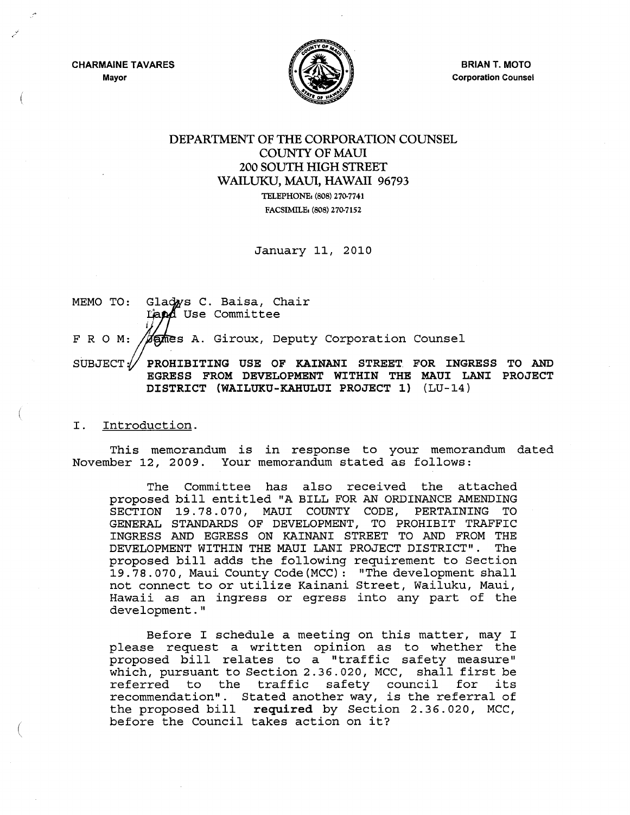CHARMAINE TAVARES Mayor



**BRIAN T. MOTO** Corporation Counsel

## DEPARTMENT OF THE CORPORATION COUNSEL COUNTY OF MAUl 200 SOUTH HIGH STREET WAILUKU, MAUl, HAWAII 96793 TELEPHONE: (808) 270-7741

FACSIMILE: (808) 270-7152

January 11, 2010

MEMO TO: Gladws C. Baisa, Chair Land Use Committee F R O M: **Games A. Giroux, Deputy Corporation Counsel** 

SUBJECT $\mathscr N$  prohibiting use of kainani street for ingress to and EGRESS FROM DEVELOPMENT WITHIN THE MAUl LANI PROJECT DISTRICT (WAILUKU-KAHULUI PROJECT 1) (LU-14)

## I. Introduction.

(

This memorandum is in response to your memorandum dated November 12, 2009. Your memorandum stated as follows:

The Committee has also received the attached proposed bill entitled "A BILL FOR AN ORDINANCE AMENDING SECTION 19.78.070, MAUl COUNTY CODE, PERTAINING TO GENERAL STANDARDS OF DEVELOPMENT, TO PROHIBIT TRAFFIC INGRESS AND EGRESS ON KAINANI STREET TO AND FROM THE DEVELOPMENT WITHIN THE MAUl LANI PROJECT DISTRICT". The proposed bill adds the following requirement to Section 19.78.070, Maui County Code (MCC): "The development shall not connect to or utilize Kainani Street, Wailuku, Maui, Hawaii as an ingress or egress into any part of the development."

Before I schedule a meeting on this matter, may I please request a written opinion as to whether the proposed bill relates to a "traffic safety measure" which, pursuant to Section 2.36.020, MCC, shall first be referred to the traffic safety council for its recommendation". Stated another way, is the referral of the proposed bill required by Section 2.36.020, MCC, before the Council takes action on it?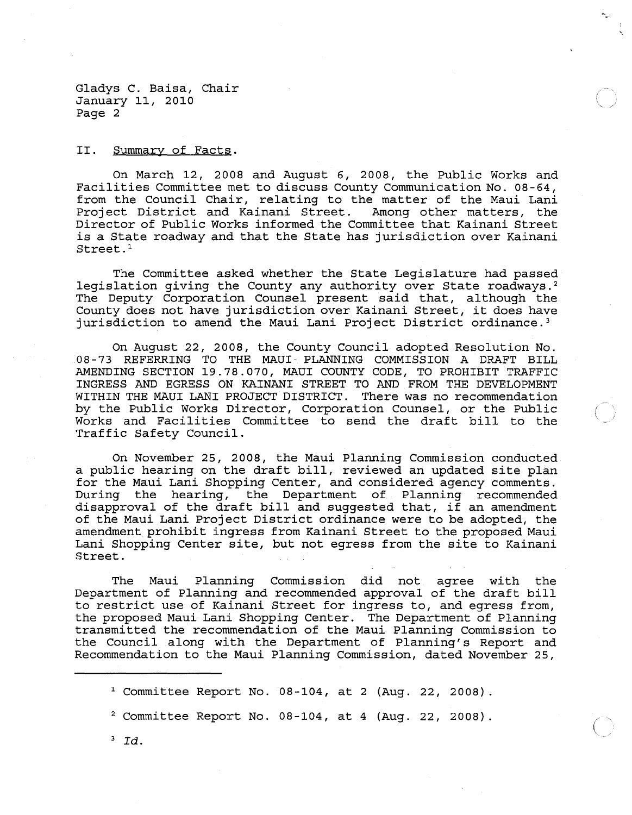II. Summary of Facts.

On March 12, 2008 and August 6, 2008, the Public Works and Facilities Committee met to discuss County Communication No. 08-64, from the Council Chair, relating to the matter of the Maui Lani<br>Project District and Kainani Street. Among other matters, the Project District and Kainani Street. Director of Public Works informed the Committee that Kainani Street is a State roadway and that the State has jurisdiction over Kainani Street.<sup>1</sup>

(  $\setminus$  /

 $\ddot{\phantom{1}}$ 

The Committee asked whether the State Legislature had passed legislation giving the County any authority over State roadways.<sup>2</sup> The Deputy Corporation Counsel present said that, although the County does not have jurisdiction over Kainani Street, it does have jurisdiction to amend the Maui Lani Project District ordinance. <sup>3</sup>

On August 22, 2008, the County Council adopted Resolution No. 08-73 REFERRING TO THE MAUl PLANNING COMMISSION A DRAFT BILL AMENDING SECTION 19.78.070, MAUl COUNTY CODE, TO PROHIBIT TRAFFIC INGRESS AND EGRESS ON KAINANI STREET TO AND FROM THE DEVELOPMENT WITHIN THE MAUl LANI PROJECT DISTRICT. There was no recommendation by the Public Works Director, Corporation Counsel, or the Public Works and Facilities Committee to send the draft bill to the Traffic Safety Council.

On November 25, 2008, the Maui Planning Commission conducted a public hearing on the draft bill, reviewed an updated site plan for the Maui Lani Shopping Center, and considered agency comments.<br>During the hearing, the Department of Planning recommended the hearing, the Department of Planning recommended disapproval of the draft bill and suggested that, if an amendment of the Maui Lani project District ordinance were to be adopted, the amendment prohibit ingress from Kainani Street to the proposed Maui Lani Shopping Center site, but not egress from the site to Kainani Street.

The Maui Planning Commission did not agree with the Department of Planning and recommended approval of the draft bill to restrict use of Kainani Street for ingress to, and egress from, the proposed Maui Lani Shopping Center. The Department of Planning transmitted the recommendation of the Maui Planning Commission to the Council along with the Department of Planning's Report and Recommendation to the Maui Planning Commission, dated November 25,

<sup>3</sup>*Id.* 

<sup>&</sup>lt;sup>1</sup> Committee Report No. 08-104, at 2 (Aug. 22, 2008).

<sup>2</sup> Committee Report No. 08-104, at 4 (Aug. 22, 2008).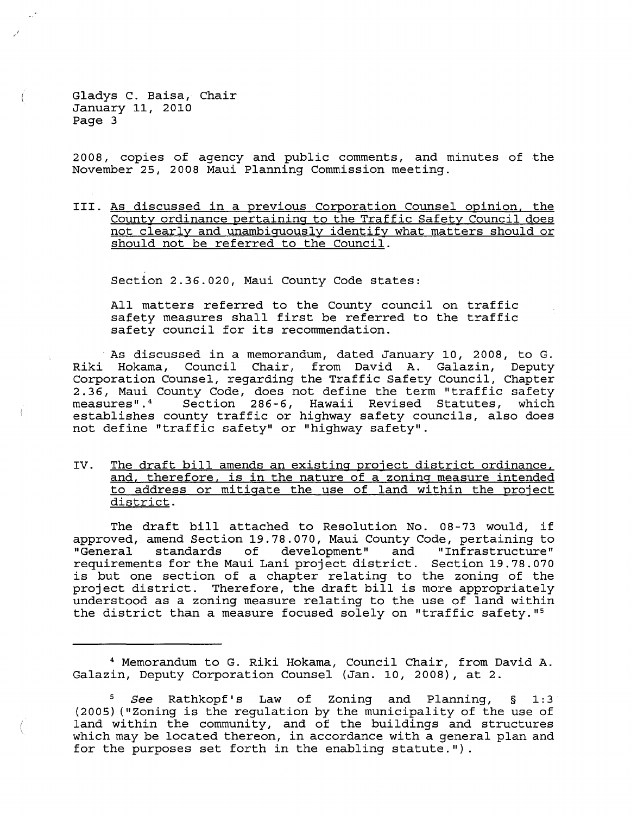$\left($ 

2008, copies of agency and public comments, and minutes of the November 25, 2008 Maui Planning Commission meeting.

III. As discussed in a previous Corporation Counsel opinion, the County ordinance pertaining to the Traffic Safety Council does not clearly and unambiguously identify what matters should or should not be referred to the Council.

Section 2.36.020, Maui County Code states:

All matters referred to the County council on traffic safety measures shall first be referred to the traffic safety council for its recommendation .

. As discussed in a memorandum, dated January 10, 2008, to G. Riki Hokama, Council Chair, from David A. Galazin, Deputy Corporation Counsel, regarding the Traffic Safety Council, Chapter 2.36, Maui County Code, does not define the term "traffic safety<br>measures".<sup>4</sup> Section 286-6, Hawaii Revised Statutes, which Section 286-6, Hawaii Revised Statutes, establishes county traffic or highway safety councils, also does not define "traffic safety" or "highway safety".

IV. The draft bill amends an existing project district ordinance, and, therefore, is in the nature of a zoning measure intended to address or mitigate the use of land within the project district.

The draft bill attached to Resolution No. 08-73 would, if approved, amend Section 19.78.070, Maui County Code, pertaining to and "Infrastructure" requirements for the Maui Lani project district. Section 19.78.070 is but one section of a chapter relating to the zoning of the project district. Therefore, the draft bill is more appropriately understood as a zoning measure relating to the use of land within the district than a measure focused solely on "traffic safety."<sup>5</sup>

<sup>4</sup> Memorandum to G. Riki Hokama, Council Chair, from David A. Galazin, Deputy Corporation Counsel (Jan. 10, 2008), at 2.

<sup>S</sup>*See* Rathkopf's Law of Zoning and Planning, § 1:3 (2005) ("Zoning is the regulation by the municipality of the use of land within the community, and of the buildings and structures which may be located thereon, in accordance with a general plan and for the purposes set forth in the enabling statute.").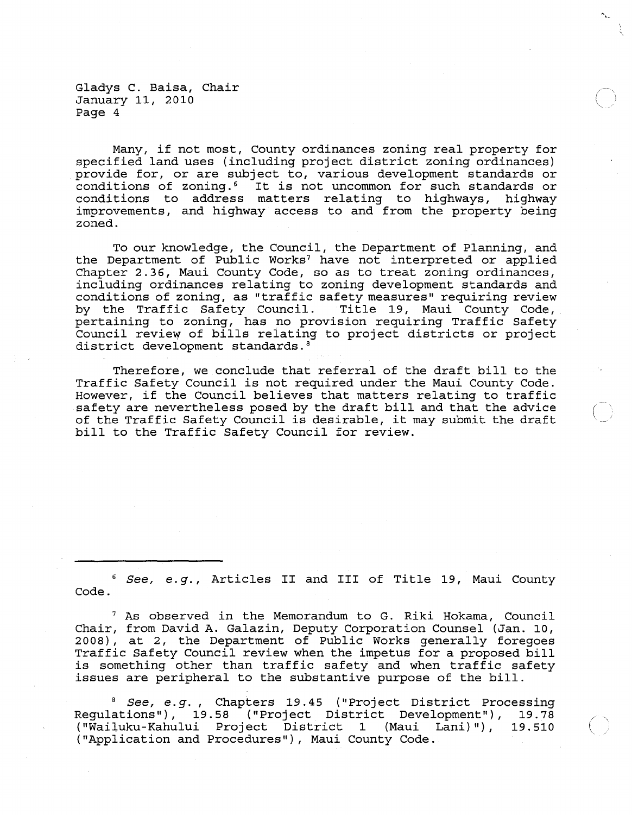Many, if not most, County ordinances zoning real property for specified land uses (including project district zoning ordinances) provide for, or are subject to, various development standards or conditions of zoning.<sup>6</sup> It is not uncommon for such standards or conditions to address matters relating to highways, highway improvements, and highway access to and from the property being zoned.

To our knowledge, the Council, the Department of Planning, and the Department of Public Works<sup>7</sup> have not interpreted or applied Chapter 2.36, Maui County Code, so as to treat zoning ordinances, including ordinances relating to zoning development standards and conditions of zoning, as "traffic safety measures" requiring review by the Traffic Safety Council. Title 19, Maui County Code, pertaining to zoning, has no provision requiring Traffic Safety Council review of bills relating to project districts or project district development standards. <sup>8</sup>

Therefore, we conclude that referral of the draft bill to the Traffic Safety Council is not required under the Maui County Code. However, if the Council believes that matters relating to traffic safety are nevertheless posed by the draft bill and that the advice of the Traffic Safety Council is desirable, it may submit the draft . bill to the Traffic Safety Council for review.

<sup>6</sup>*See, e.g.,* Articles II and III of Title 19, Maui County Code.

7 As observed in the Memorandum to G. Riki Hokama, Council Chair, from David A. Galazin, Deputy Corporation Counsel (Jan. 10, 2008), at 2, the Department of Public Works generally foregoes Traffic Safety Council review when the impetus for a proposed bill is something other than traffic safety and when traffic safety issues are peripheral to the substantive purpose of the bill.

<sup>8</sup>*See, e.g.,* Chapters 19.45 ("Project District Processing Regulations"), 19.58 ("Project District Development"), 19.78 ("Wailuku-Kahului Project District 1 (Maui Lani)"), ("Application and Procedures"), Maui County Code.